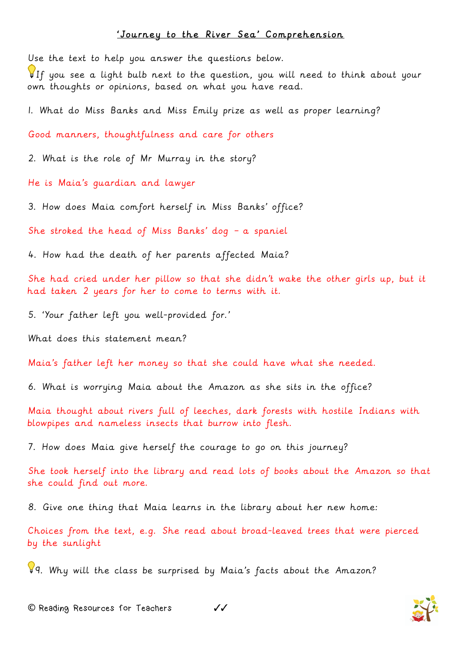## 'Journey to the River Sea' Comprehension

Use the text to help you answer the questions below.

If you see a light bulb next to the question, you will need to think about your own thoughts or opinions, based on what you have read.

1. What do Miss Banks and Miss Emily prize as well as proper learning?

Good manners, thoughtfulness and care for others

2. What is the role of Mr Murray in the story?

He is Maia's guardian and lawyer

3. How does Maia comfort herself in Miss Banks' office?

She stroked the head of Miss Banks' dog – a spaniel

4. How had the death of her parents affected Maia?

She had cried under her pillow so that she didn't wake the other girls up, but it had taken 2 years for her to come to terms with it.

5. 'Your father left you well-provided for.'

What does this statement mean?

Maia's father left her money so that she could have what she needed.

6. What is worrying Maia about the Amazon as she sits in the office?

Maia thought about rivers full of leeches, dark forests with hostile Indians with blowpipes and nameless insects that burrow into flesh.

7. How does Maia give herself the courage to go on this journey?

She took herself into the library and read lots of books about the Amazon so that she could find out more.

8. Give one thing that Maia learns in the library about her new home:

Choices from the text, e.g. She read about broad-leaved trees that were pierced by the sunlight

9. Why will the class be surprised by Maia's facts about the Amazon?